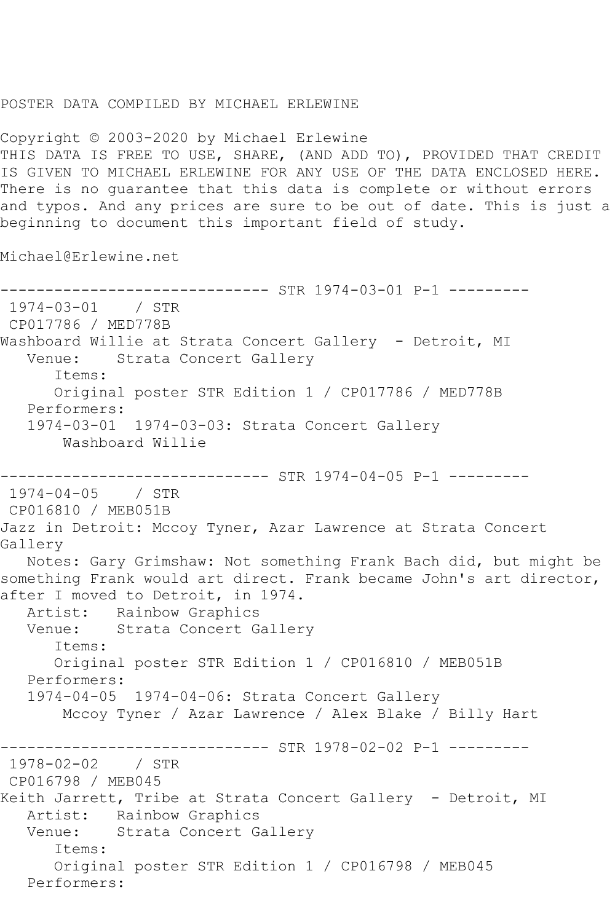## POSTER DATA COMPILED BY MICHAEL ERLEWINE

Copyright © 2003-2020 by Michael Erlewine THIS DATA IS FREE TO USE, SHARE, (AND ADD TO), PROVIDED THAT CREDIT IS GIVEN TO MICHAEL ERLEWINE FOR ANY USE OF THE DATA ENCLOSED HERE. There is no guarantee that this data is complete or without errors and typos. And any prices are sure to be out of date. This is just a beginning to document this important field of study.

Michael@Erlewine.net

------------------------------ STR 1974-03-01 P-1 --------- 1974-03-01 / STR CP017786 / MED778B Washboard Willie at Strata Concert Gallery - Detroit, MI Venue: Strata Concert Gallery Items: Original poster STR Edition 1 / CP017786 / MED778B Performers: 1974-03-01 1974-03-03: Strata Concert Gallery Washboard Willie ------------------------------ STR 1974-04-05 P-1 --------- 1974-04-05 / STR CP016810 / MEB051B Jazz in Detroit: Mccoy Tyner, Azar Lawrence at Strata Concert Gallery Notes: Gary Grimshaw: Not something Frank Bach did, but might be something Frank would art direct. Frank became John's art director, after I moved to Detroit, in 1974. Artist: Rainbow Graphics Venue: Strata Concert Gallery Items: Original poster STR Edition 1 / CP016810 / MEB051B Performers: 1974-04-05 1974-04-06: Strata Concert Gallery Mccoy Tyner / Azar Lawrence / Alex Blake / Billy Hart ------------------------------ STR 1978-02-02 P-1 --------- 1978-02-02 / STR CP016798 / MEB045 Keith Jarrett, Tribe at Strata Concert Gallery - Detroit, MI Artist: Rainbow Graphics Venue: Strata Concert Gallery Items: Original poster STR Edition 1 / CP016798 / MEB045 Performers: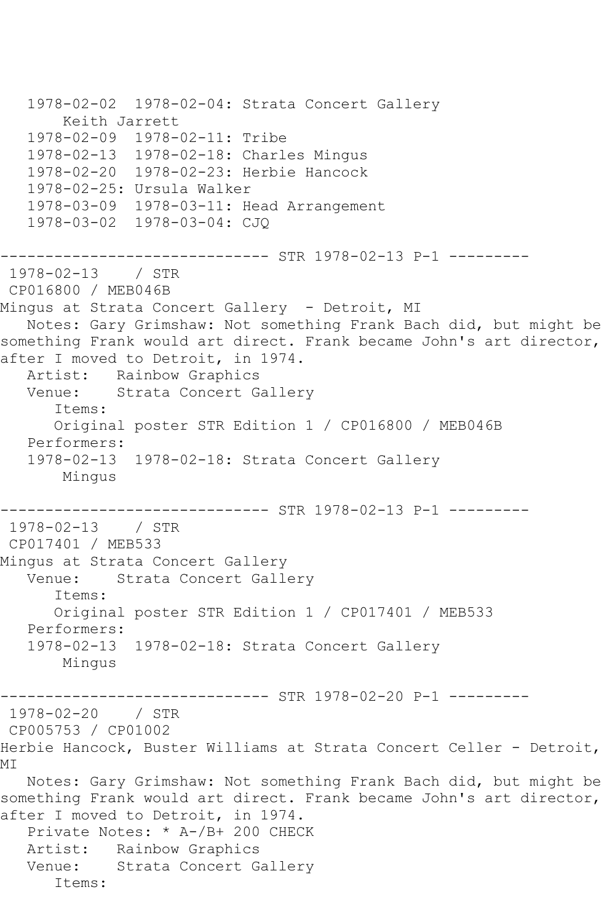1978-02-02 1978-02-04: Strata Concert Gallery Keith Jarrett 1978-02-09 1978-02-11: Tribe 1978-02-13 1978-02-18: Charles Mingus 1978-02-20 1978-02-23: Herbie Hancock 1978-02-25: Ursula Walker 1978-03-09 1978-03-11: Head Arrangement 1978-03-02 1978-03-04: CJQ ------------------------------ STR 1978-02-13 P-1 --------- 1978-02-13 / STR CP016800 / MEB046B Mingus at Strata Concert Gallery - Detroit, MI Notes: Gary Grimshaw: Not something Frank Bach did, but might be something Frank would art direct. Frank became John's art director, after I moved to Detroit, in 1974. Artist: Rainbow Graphics Venue: Strata Concert Gallery Items: Original poster STR Edition 1 / CP016800 / MEB046B Performers: 1978-02-13 1978-02-18: Strata Concert Gallery Mingus ------------------------------ STR 1978-02-13 P-1 --------- 1978-02-13 / STR CP017401 / MEB533 Mingus at Strata Concert Gallery Venue: Strata Concert Gallery Items: Original poster STR Edition 1 / CP017401 / MEB533 Performers: 1978-02-13 1978-02-18: Strata Concert Gallery Mingus ------------------------------ STR 1978-02-20 P-1 --------- 1978-02-20 / STR CP005753 / CP01002 Herbie Hancock, Buster Williams at Strata Concert Celler - Detroit, MI Notes: Gary Grimshaw: Not something Frank Bach did, but might be something Frank would art direct. Frank became John's art director, after I moved to Detroit, in 1974. Private Notes: \* A-/B+ 200 CHECK Artist: Rainbow Graphics Venue: Strata Concert Gallery Items: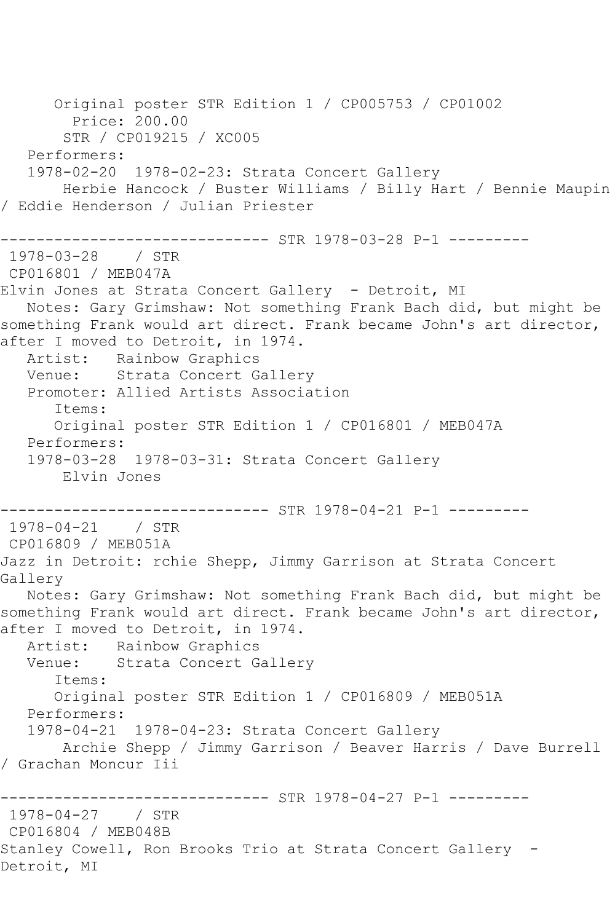Original poster STR Edition 1 / CP005753 / CP01002 Price: 200.00 STR / CP019215 / XC005 Performers: 1978-02-20 1978-02-23: Strata Concert Gallery Herbie Hancock / Buster Williams / Billy Hart / Bennie Maupin / Eddie Henderson / Julian Priester ------------------------------ STR 1978-03-28 P-1 --------- 1978-03-28 / STR CP016801 / MEB047A Elvin Jones at Strata Concert Gallery - Detroit, MI Notes: Gary Grimshaw: Not something Frank Bach did, but might be something Frank would art direct. Frank became John's art director, after I moved to Detroit, in 1974. Artist: Rainbow Graphics Venue: Strata Concert Gallery Promoter: Allied Artists Association Items: Original poster STR Edition 1 / CP016801 / MEB047A Performers: 1978-03-28 1978-03-31: Strata Concert Gallery Elvin Jones ------------------------------ STR 1978-04-21 P-1 --------- 1978-04-21 / STR CP016809 / MEB051A Jazz in Detroit: rchie Shepp, Jimmy Garrison at Strata Concert Gallery Notes: Gary Grimshaw: Not something Frank Bach did, but might be something Frank would art direct. Frank became John's art director, after I moved to Detroit, in 1974. Artist: Rainbow Graphics<br>Venue: Strata Concert G Strata Concert Gallery Items: Original poster STR Edition 1 / CP016809 / MEB051A Performers: 1978-04-21 1978-04-23: Strata Concert Gallery Archie Shepp / Jimmy Garrison / Beaver Harris / Dave Burrell / Grachan Moncur Iii ------------------------------ STR 1978-04-27 P-1 --------- 1978-04-27 / STR CP016804 / MEB048B Stanley Cowell, Ron Brooks Trio at Strata Concert Gallery - Detroit, MI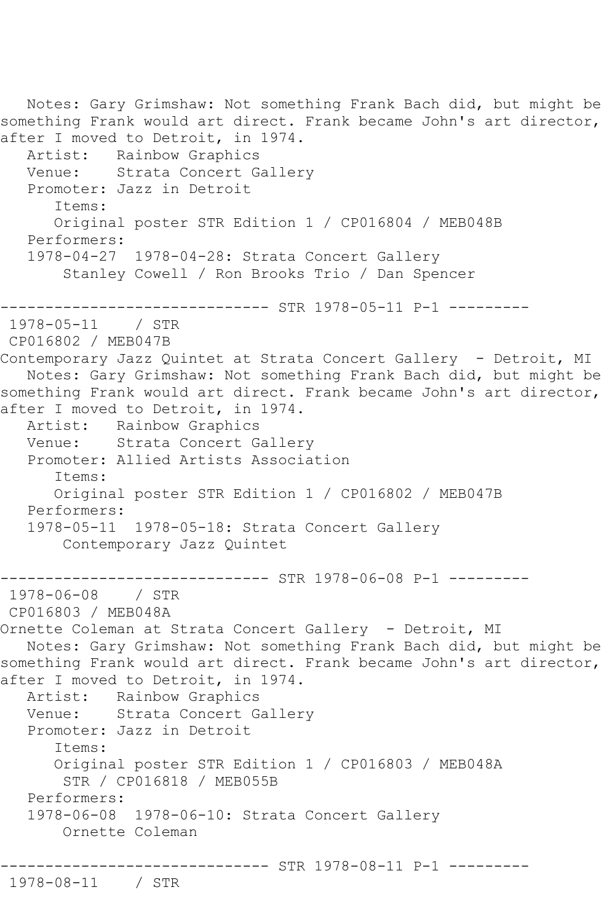```
 Notes: Gary Grimshaw: Not something Frank Bach did, but might be 
something Frank would art direct. Frank became John's art director, 
after I moved to Detroit, in 1974.
  Artist: Rainbow Graphics<br>Venue: Strata Concert G
            Strata Concert Gallery
   Promoter: Jazz in Detroit
       Items:
       Original poster STR Edition 1 / CP016804 / MEB048B
   Performers:
   1978-04-27 1978-04-28: Strata Concert Gallery
        Stanley Cowell / Ron Brooks Trio / Dan Spencer
------------------------------ STR 1978-05-11 P-1 ---------
1978-05-11 / STR 
CP016802 / MEB047B
Contemporary Jazz Quintet at Strata Concert Gallery - Detroit, MI
   Notes: Gary Grimshaw: Not something Frank Bach did, but might be 
something Frank would art direct. Frank became John's art director, 
after I moved to Detroit, in 1974.
   Artist: Rainbow Graphics
   Venue: Strata Concert Gallery
   Promoter: Allied Artists Association
       Items:
       Original poster STR Edition 1 / CP016802 / MEB047B
  Performers:<br>1978-05-11
               1978-05-18: Strata Concert Gallery
        Contemporary Jazz Quintet
----------------------------- STR 1978-06-08 P-1 ---------
1978-06-08 / STR 
CP016803 / MEB048A
Ornette Coleman at Strata Concert Gallery - Detroit, MI
   Notes: Gary Grimshaw: Not something Frank Bach did, but might be 
something Frank would art direct. Frank became John's art director, 
after I moved to Detroit, in 1974.
   Artist: Rainbow Graphics
   Venue: Strata Concert Gallery
   Promoter: Jazz in Detroit
       Items:
       Original poster STR Edition 1 / CP016803 / MEB048A
        STR / CP016818 / MEB055B
   Performers:
   1978-06-08 1978-06-10: Strata Concert Gallery
        Ornette Coleman
              --------------- STR 1978-08-11 P-1 ---------
1978-08-11 / STR
```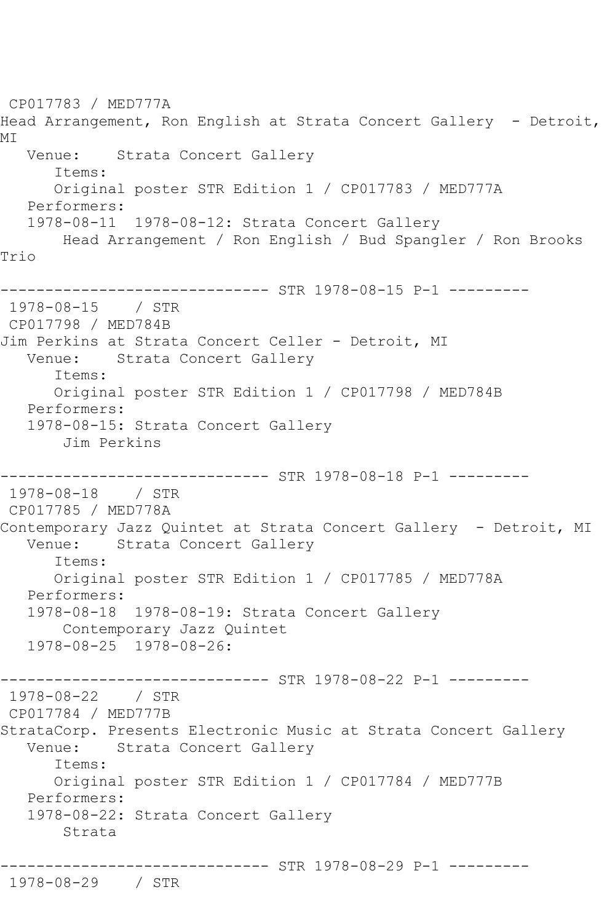CP017783 / MED777A Head Arrangement, Ron English at Strata Concert Gallery - Detroit, MI Venue: Strata Concert Gallery Items: Original poster STR Edition 1 / CP017783 / MED777A Performers: 1978-08-11 1978-08-12: Strata Concert Gallery Head Arrangement / Ron English / Bud Spangler / Ron Brooks Trio ------------------------------ STR 1978-08-15 P-1 --------- 1978-08-15 / STR CP017798 / MED784B Jim Perkins at Strata Concert Celler - Detroit, MI Venue: Strata Concert Gallery Items: Original poster STR Edition 1 / CP017798 / MED784B Performers: 1978-08-15: Strata Concert Gallery Jim Perkins ------------------------------ STR 1978-08-18 P-1 --------- 1978-08-18 / STR CP017785 / MED778A Contemporary Jazz Quintet at Strata Concert Gallery - Detroit, MI<br>Venue: Strata Concert Gallery Strata Concert Gallery Items: Original poster STR Edition 1 / CP017785 / MED778A Performers: 1978-08-18 1978-08-19: Strata Concert Gallery Contemporary Jazz Quintet 1978-08-25 1978-08-26: ------------------------------ STR 1978-08-22 P-1 --------- 1978-08-22 / STR CP017784 / MED777B StrataCorp. Presents Electronic Music at Strata Concert Gallery Venue: Strata Concert Gallery Items: Original poster STR Edition 1 / CP017784 / MED777B Performers: 1978-08-22: Strata Concert Gallery Strata ------------------------------ STR 1978-08-29 P-1 --------- 1978-08-29 / STR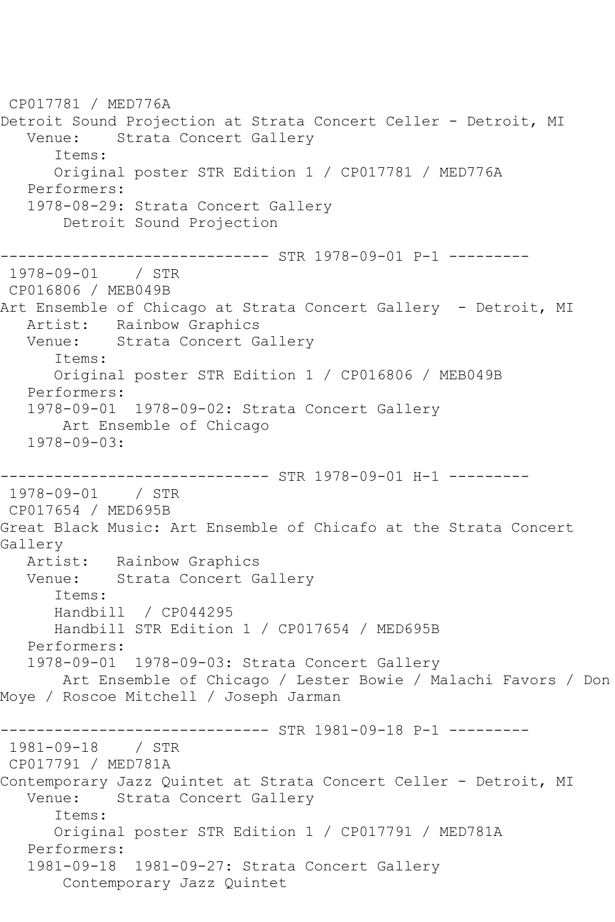CP017781 / MED776A Detroit Sound Projection at Strata Concert Celler - Detroit, MI Venue: Strata Concert Gallery Items: Original poster STR Edition 1 / CP017781 / MED776A Performers: 1978-08-29: Strata Concert Gallery Detroit Sound Projection ------------------------------ STR 1978-09-01 P-1 --------- 1978-09-01 / STR CP016806 / MEB049B Art Ensemble of Chicago at Strata Concert Gallery - Detroit, MI Artist: Rainbow Graphics Venue: Strata Concert Gallery Items: Original poster STR Edition 1 / CP016806 / MEB049B Performers: 1978-09-01 1978-09-02: Strata Concert Gallery Art Ensemble of Chicago 1978-09-03: ------------------------------ STR 1978-09-01 H-1 --------- 1978-09-01 / STR CP017654 / MED695B Great Black Music: Art Ensemble of Chicafo at the Strata Concert Gallery Artist: Rainbow Graphics Venue: Strata Concert Gallery Items: Handbill / CP044295 Handbill STR Edition 1 / CP017654 / MED695B Performers: 1978-09-01 1978-09-03: Strata Concert Gallery Art Ensemble of Chicago / Lester Bowie / Malachi Favors / Don Moye / Roscoe Mitchell / Joseph Jarman ------------------------------ STR 1981-09-18 P-1 --------- 1981-09-18 / STR CP017791 / MED781A Contemporary Jazz Quintet at Strata Concert Celler - Detroit, MI Venue: Strata Concert Gallery Items: Original poster STR Edition 1 / CP017791 / MED781A Performers: 1981-09-18 1981-09-27: Strata Concert Gallery Contemporary Jazz Quintet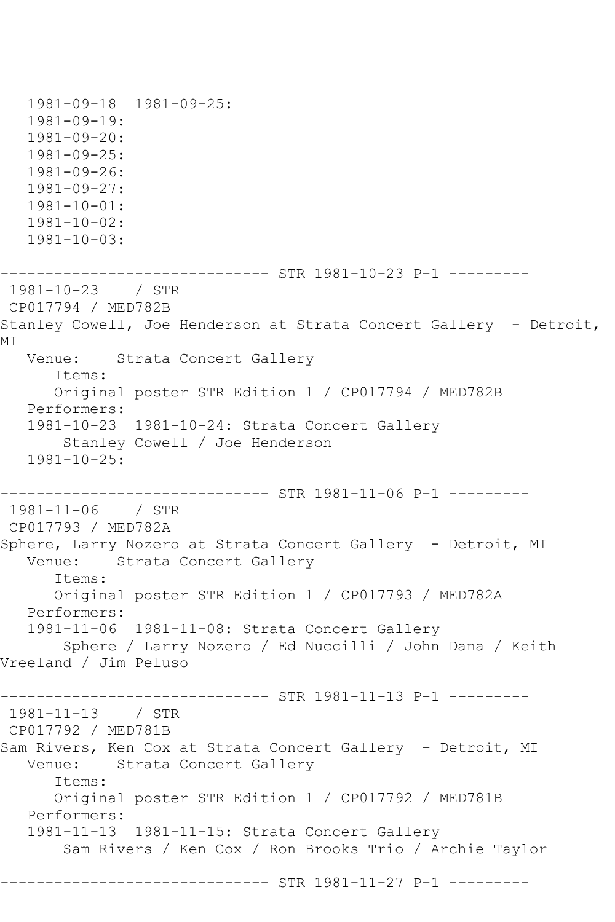1981-09-18 1981-09-25: 1981-09-19: 1981-09-20: 1981-09-25: 1981-09-26: 1981-09-27: 1981-10-01: 1981-10-02: 1981-10-03: ------------------------------ STR 1981-10-23 P-1 --------- 1981-10-23 / STR CP017794 / MED782B Stanley Cowell, Joe Henderson at Strata Concert Gallery - Detroit, MI Venue: Strata Concert Gallery Items: Original poster STR Edition 1 / CP017794 / MED782B Performers: 1981-10-23 1981-10-24: Strata Concert Gallery Stanley Cowell / Joe Henderson 1981-10-25: ----------------------------- STR 1981-11-06 P-1 ---------1981-11-06 / STR CP017793 / MED782A Sphere, Larry Nozero at Strata Concert Gallery - Detroit, MI Venue: Strata Concert Gallery Items: Original poster STR Edition 1 / CP017793 / MED782A Performers: 1981-11-06 1981-11-08: Strata Concert Gallery Sphere / Larry Nozero / Ed Nuccilli / John Dana / Keith Vreeland / Jim Peluso ----------------------------- STR 1981-11-13 P-1 ---------1981-11-13 / STR CP017792 / MED781B Sam Rivers, Ken Cox at Strata Concert Gallery - Detroit, MI Venue: Strata Concert Gallery Items: Original poster STR Edition 1 / CP017792 / MED781B Performers: 1981-11-13 1981-11-15: Strata Concert Gallery Sam Rivers / Ken Cox / Ron Brooks Trio / Archie Taylor ----------------------------- STR 1981-11-27 P-1 ---------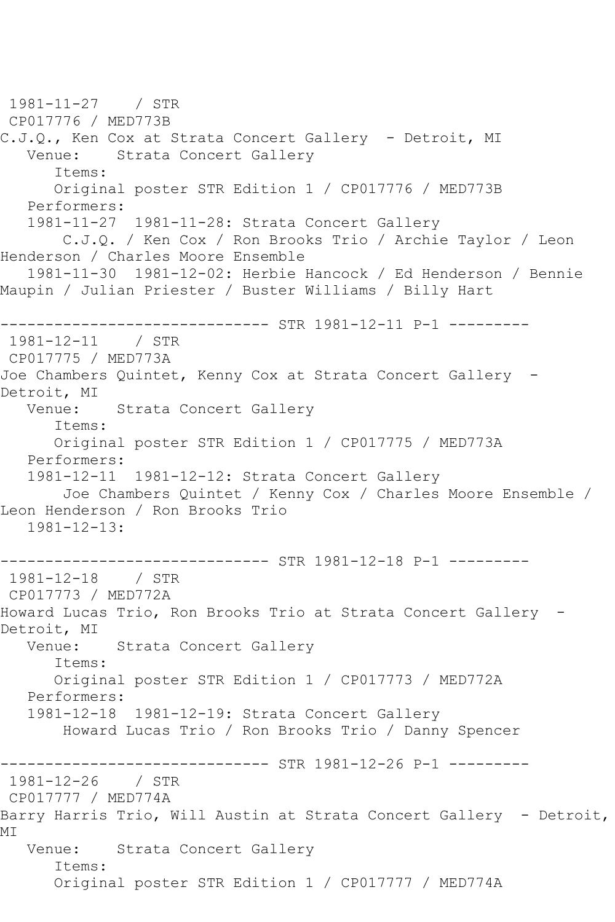1981-11-27 / STR CP017776 / MED773B C.J.Q., Ken Cox at Strata Concert Gallery - Detroit, MI Venue: Strata Concert Gallery Items: Original poster STR Edition 1 / CP017776 / MED773B Performers: 1981-11-27 1981-11-28: Strata Concert Gallery C.J.Q. / Ken Cox / Ron Brooks Trio / Archie Taylor / Leon Henderson / Charles Moore Ensemble 1981-11-30 1981-12-02: Herbie Hancock / Ed Henderson / Bennie Maupin / Julian Priester / Buster Williams / Billy Hart ------------------------------ STR 1981-12-11 P-1 --------- 1981-12-11 / STR CP017775 / MED773A Joe Chambers Quintet, Kenny Cox at Strata Concert Gallery - Detroit, MI<br>Venue: Strata Concert Gallery Items: Original poster STR Edition 1 / CP017775 / MED773A Performers: 1981-12-11 1981-12-12: Strata Concert Gallery Joe Chambers Quintet / Kenny Cox / Charles Moore Ensemble / Leon Henderson / Ron Brooks Trio 1981-12-13: ----------------------------- STR 1981-12-18 P-1 ---------1981-12-18 / STR CP017773 / MED772A Howard Lucas Trio, Ron Brooks Trio at Strata Concert Gallery - Detroit, MI Venue: Strata Concert Gallery Items: Original poster STR Edition 1 / CP017773 / MED772A Performers: 1981-12-18 1981-12-19: Strata Concert Gallery Howard Lucas Trio / Ron Brooks Trio / Danny Spencer ----------------------------- STR 1981-12-26 P-1 ----------1981-12-26 / STR CP017777 / MED774A Barry Harris Trio, Will Austin at Strata Concert Gallery - Detroit, MI Venue: Strata Concert Gallery Items: Original poster STR Edition 1 / CP017777 / MED774A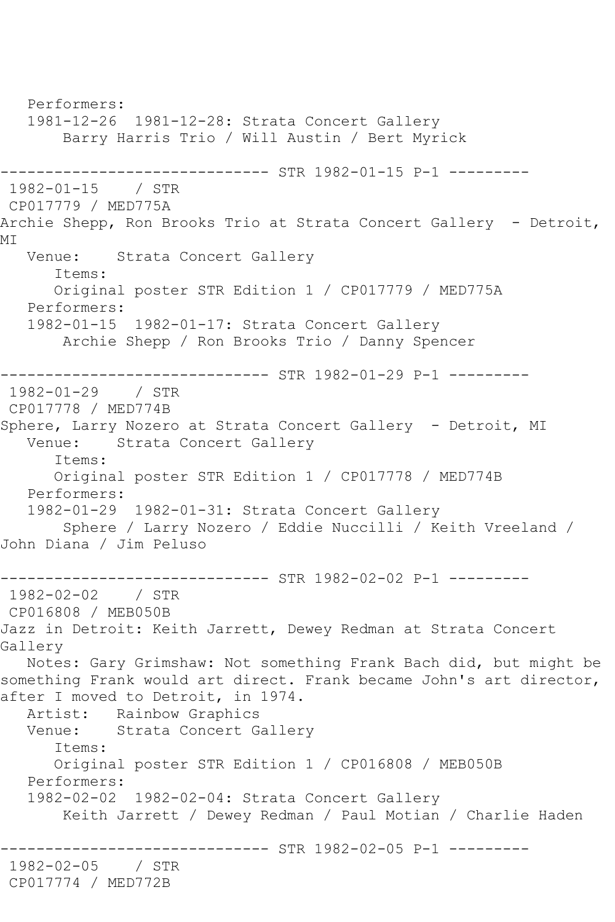Performers: 1981-12-26 1981-12-28: Strata Concert Gallery Barry Harris Trio / Will Austin / Bert Myrick ------------------------------ STR 1982-01-15 P-1 --------- 1982-01-15 / STR CP017779 / MED775A Archie Shepp, Ron Brooks Trio at Strata Concert Gallery - Detroit, MT Venue: Strata Concert Gallery Items: Original poster STR Edition 1 / CP017779 / MED775A Performers: 1982-01-15 1982-01-17: Strata Concert Gallery Archie Shepp / Ron Brooks Trio / Danny Spencer ------------------------------ STR 1982-01-29 P-1 --------- 1982-01-29 / STR CP017778 / MED774B Sphere, Larry Nozero at Strata Concert Gallery - Detroit, MI Venue: Strata Concert Gallery Items: Original poster STR Edition 1 / CP017778 / MED774B Performers: 1982-01-29 1982-01-31: Strata Concert Gallery Sphere / Larry Nozero / Eddie Nuccilli / Keith Vreeland / John Diana / Jim Peluso ------------------------------ STR 1982-02-02 P-1 --------- 1982-02-02 / STR CP016808 / MEB050B Jazz in Detroit: Keith Jarrett, Dewey Redman at Strata Concert Gallery Notes: Gary Grimshaw: Not something Frank Bach did, but might be something Frank would art direct. Frank became John's art director, after I moved to Detroit, in 1974. Artist: Rainbow Graphics Venue: Strata Concert Gallery Items: Original poster STR Edition 1 / CP016808 / MEB050B Performers: 1982-02-02 1982-02-04: Strata Concert Gallery Keith Jarrett / Dewey Redman / Paul Motian / Charlie Haden ------------------------------ STR 1982-02-05 P-1 --------- 1982-02-05 / STR CP017774 / MED772B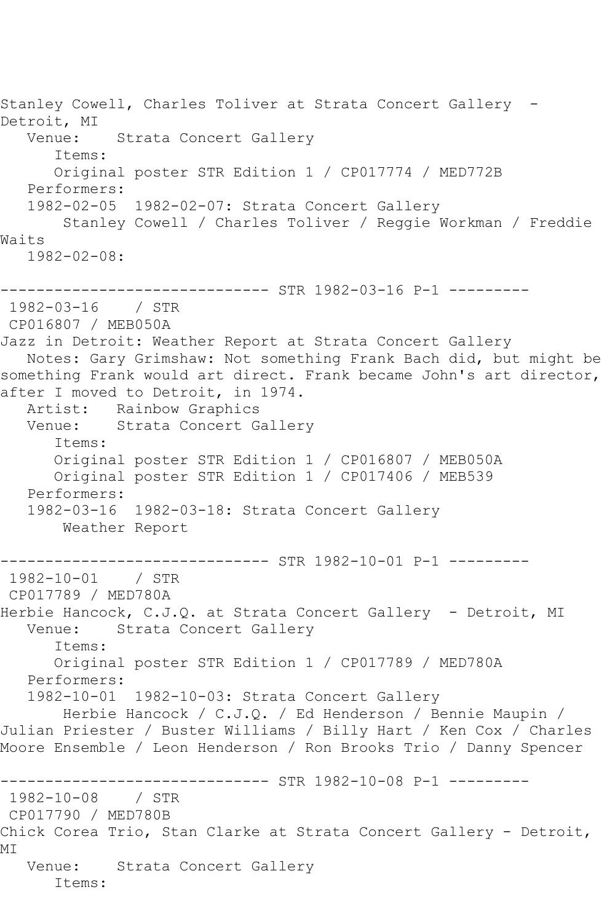Stanley Cowell, Charles Toliver at Strata Concert Gallery - Detroit, MI<br>Venue: Strata Concert Gallery Items: Original poster STR Edition 1 / CP017774 / MED772B Performers: 1982-02-05 1982-02-07: Strata Concert Gallery Stanley Cowell / Charles Toliver / Reggie Workman / Freddie Waits 1982-02-08: ------------------------------ STR 1982-03-16 P-1 --------- 1982-03-16 / STR CP016807 / MEB050A Jazz in Detroit: Weather Report at Strata Concert Gallery Notes: Gary Grimshaw: Not something Frank Bach did, but might be something Frank would art direct. Frank became John's art director, after I moved to Detroit, in 1974. Artist: Rainbow Graphics Venue: Strata Concert Gallery Items: Original poster STR Edition 1 / CP016807 / MEB050A Original poster STR Edition 1 / CP017406 / MEB539 Performers: 1982-03-16 1982-03-18: Strata Concert Gallery Weather Report ------------------------------ STR 1982-10-01 P-1 --------- 1982-10-01 / STR CP017789 / MED780A Herbie Hancock, C.J.Q. at Strata Concert Gallery - Detroit, MI Venue: Strata Concert Gallery Items: Original poster STR Edition 1 / CP017789 / MED780A Performers: 1982-10-01 1982-10-03: Strata Concert Gallery Herbie Hancock / C.J.Q. / Ed Henderson / Bennie Maupin / Julian Priester / Buster Williams / Billy Hart / Ken Cox / Charles Moore Ensemble / Leon Henderson / Ron Brooks Trio / Danny Spencer ---------------- STR 1982-10-08 P-1 ----------<br>/ STR  $1982 - 10 - 08$ CP017790 / MED780B Chick Corea Trio, Stan Clarke at Strata Concert Gallery - Detroit, MI Venue: Strata Concert Gallery Items: